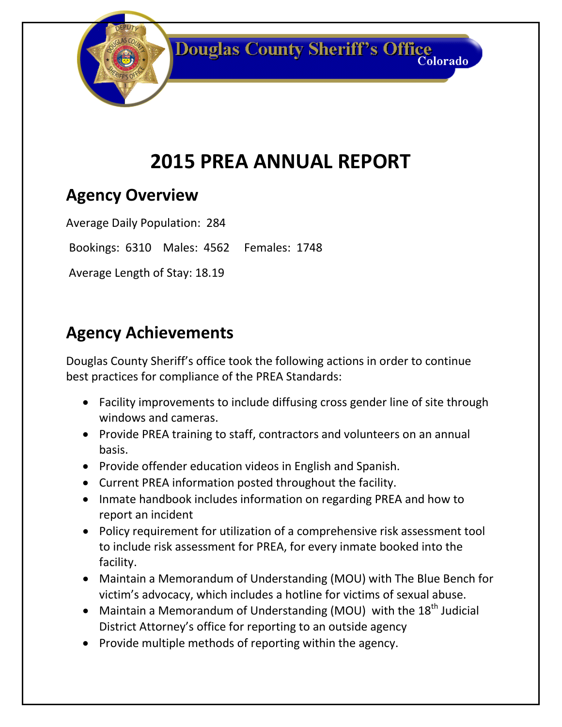**Douglas County Sheriff's Office** Colorado

# **2015 PREA ANNUAL REPORT**

#### **Agency Overview**

Average Daily Population: 284

Bookings: 6310 Males: 4562 Females: 1748

Average Length of Stay: 18.19

### **Agency Achievements**

Douglas County Sheriff's office took the following actions in order to continue best practices for compliance of the PREA Standards:

- Facility improvements to include diffusing cross gender line of site through windows and cameras.
- Provide PREA training to staff, contractors and volunteers on an annual basis.
- Provide offender education videos in English and Spanish.
- Current PREA information posted throughout the facility.
- Inmate handbook includes information on regarding PREA and how to report an incident
- Policy requirement for utilization of a comprehensive risk assessment tool to include risk assessment for PREA, for every inmate booked into the facility.
- Maintain a Memorandum of Understanding (MOU) with The Blue Bench for victim's advocacy, which includes a hotline for victims of sexual abuse.
- Maintain a Memorandum of Understanding (MOU) with the  $18<sup>th</sup>$  Judicial District Attorney's office for reporting to an outside agency
- Provide multiple methods of reporting within the agency.